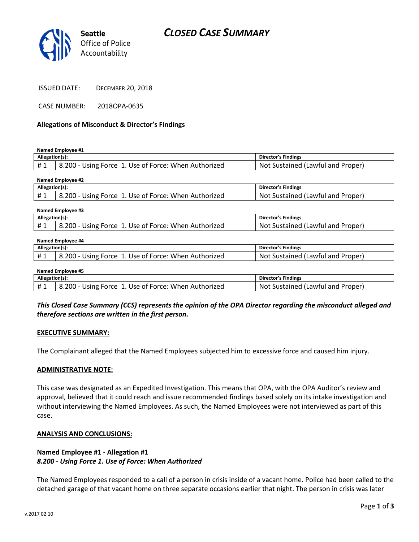

CASE NUMBER: 2018OPA-0635

### **Allegations of Misconduct & Director's Findings**

**Named Employee #1**

| Allegation(s): |                                                      | Director's Findings                      |
|----------------|------------------------------------------------------|------------------------------------------|
| # 1            | d.200 - Using Force 1. Use of Force: When Authorized | : Sustained (Lawful and Proper)<br>Not ' |
|                |                                                      |                                          |

| Named Employee #2 |                                                      |                                   |  |  |
|-------------------|------------------------------------------------------|-----------------------------------|--|--|
| Allegation(s):    |                                                      | Director's Findings               |  |  |
| #1                | 8.200 - Using Force 1. Use of Force: When Authorized | Not Sustained (Lawful and Proper) |  |  |
|                   |                                                      |                                   |  |  |

| Named Employee #3 |                                                      |                                   |  |  |
|-------------------|------------------------------------------------------|-----------------------------------|--|--|
| Allegation(s):    |                                                      | Director's Findings               |  |  |
| #1                | 8.200 - Using Force 1. Use of Force: When Authorized | Not Sustained (Lawful and Proper) |  |  |

#### **Named Employee #4**

|                                                                                                            | 's Findings                                  |
|------------------------------------------------------------------------------------------------------------|----------------------------------------------|
| H <sub>1</sub><br>200<br>NΩ<br>When<br>Authorized<br>Force<br>' Force.<br>USA.<br>USINE<br>∩t<br>π.<br>. . | Proper.<br>and<br>sustained<br>.awful<br>. . |

| Named Employee #5 |                                                      |                                   |  |  |
|-------------------|------------------------------------------------------|-----------------------------------|--|--|
| Allegation(s):    |                                                      | Director's Findings               |  |  |
| #1                | 8.200 - Using Force 1. Use of Force: When Authorized | Not Sustained (Lawful and Proper) |  |  |

*This Closed Case Summary (CCS) represents the opinion of the OPA Director regarding the misconduct alleged and therefore sections are written in the first person.* 

### **EXECUTIVE SUMMARY:**

The Complainant alleged that the Named Employees subjected him to excessive force and caused him injury.

### **ADMINISTRATIVE NOTE:**

This case was designated as an Expedited Investigation. This means that OPA, with the OPA Auditor's review and approval, believed that it could reach and issue recommended findings based solely on its intake investigation and without interviewing the Named Employees. As such, the Named Employees were not interviewed as part of this case.

### **ANALYSIS AND CONCLUSIONS:**

### **Named Employee #1 - Allegation #1** *8.200 - Using Force 1. Use of Force: When Authorized*

The Named Employees responded to a call of a person in crisis inside of a vacant home. Police had been called to the detached garage of that vacant home on three separate occasions earlier that night. The person in crisis was later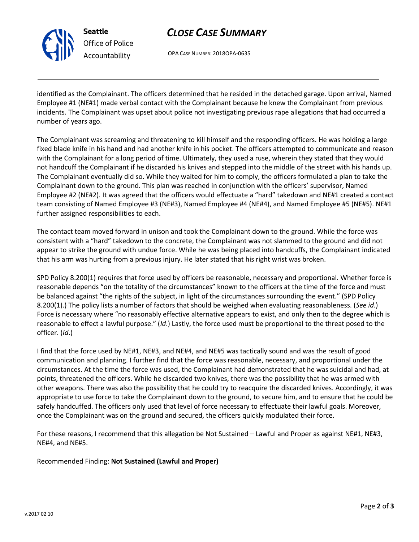

# *CLOSE CASE SUMMARY*

OPA CASE NUMBER: 2018OPA-0635

identified as the Complainant. The officers determined that he resided in the detached garage. Upon arrival, Named Employee #1 (NE#1) made verbal contact with the Complainant because he knew the Complainant from previous incidents. The Complainant was upset about police not investigating previous rape allegations that had occurred a number of years ago.

The Complainant was screaming and threatening to kill himself and the responding officers. He was holding a large fixed blade knife in his hand and had another knife in his pocket. The officers attempted to communicate and reason with the Complainant for a long period of time. Ultimately, they used a ruse, wherein they stated that they would not handcuff the Complainant if he discarded his knives and stepped into the middle of the street with his hands up. The Complainant eventually did so. While they waited for him to comply, the officers formulated a plan to take the Complainant down to the ground. This plan was reached in conjunction with the officers' supervisor, Named Employee #2 (NE#2). It was agreed that the officers would effectuate a "hard" takedown and NE#1 created a contact team consisting of Named Employee #3 (NE#3), Named Employee #4 (NE#4), and Named Employee #5 (NE#5). NE#1 further assigned responsibilities to each.

The contact team moved forward in unison and took the Complainant down to the ground. While the force was consistent with a "hard" takedown to the concrete, the Complainant was not slammed to the ground and did not appear to strike the ground with undue force. While he was being placed into handcuffs, the Complainant indicated that his arm was hurting from a previous injury. He later stated that his right wrist was broken.

SPD Policy 8.200(1) requires that force used by officers be reasonable, necessary and proportional. Whether force is reasonable depends "on the totality of the circumstances" known to the officers at the time of the force and must be balanced against "the rights of the subject, in light of the circumstances surrounding the event." (SPD Policy 8.200(1).) The policy lists a number of factors that should be weighed when evaluating reasonableness. (*See id*.) Force is necessary where "no reasonably effective alternative appears to exist, and only then to the degree which is reasonable to effect a lawful purpose." (*Id*.) Lastly, the force used must be proportional to the threat posed to the officer. (*Id*.)

I find that the force used by NE#1, NE#3, and NE#4, and NE#5 was tactically sound and was the result of good communication and planning. I further find that the force was reasonable, necessary, and proportional under the circumstances. At the time the force was used, the Complainant had demonstrated that he was suicidal and had, at points, threatened the officers. While he discarded two knives, there was the possibility that he was armed with other weapons. There was also the possibility that he could try to reacquire the discarded knives. Accordingly, it was appropriate to use force to take the Complainant down to the ground, to secure him, and to ensure that he could be safely handcuffed. The officers only used that level of force necessary to effectuate their lawful goals. Moreover, once the Complainant was on the ground and secured, the officers quickly modulated their force.

For these reasons, I recommend that this allegation be Not Sustained – Lawful and Proper as against NE#1, NE#3, NE#4, and NE#5.

Recommended Finding: **Not Sustained (Lawful and Proper)**